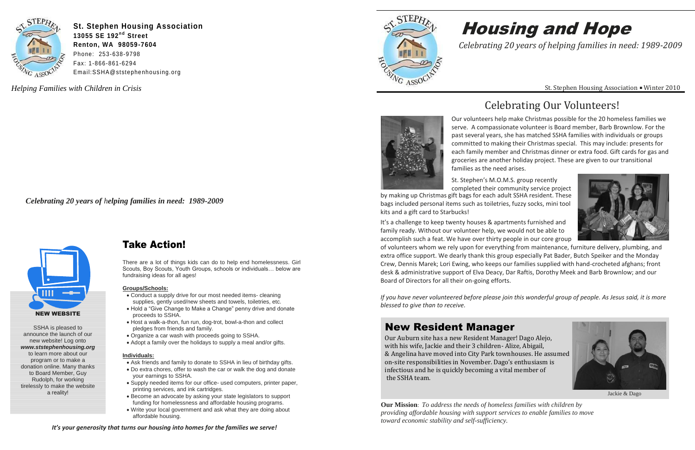### New Resident Manager

Our Auburn site has a new Resident Manager! Dago Alejo, with his wife, Jackie and their 3 children- Alize, Abigail, & Angelina have moved into City Park townhouses. He assumed on-site responsibilities in November. Dago's enthusiasm is infectious and he is quickly becoming a vital member of the SSHA team.

- Conduct a supply drive for our most needed items- cleaning supplies, gently used/new sheets and towels, toiletries, etc.
- Hold a "Give Change to Make a Change" penny drive and donate proceeds to SSHA.
- Host a walk-a-thon, fun run, dog-trot, bowl-a-thon and collect pledges from friends and family.
- Organize a car wash with proceeds going to SSHA.
- Adopt a family over the holidays to supply a meal and/or gifts.



**St. Stephen Housing Association 13055 SE 192<sup>nd</sup> Street Renton, WA 98059-7604** Phone: 253-638-9798 Fax: 1-866-861-6294 Email:SSHA@ststephenhousing.org

### Take Action!

There are a lot of things kids can do to help end homelessness. Girl Scouts, Boy Scouts, Youth Groups, schools or individuals… below are fundraising ideas for all ages!

#### **Groups/Schools:**

#### **Individuals:**

- Ask friends and family to donate to SSHA in lieu of birthday gifts.
- Do extra chores, offer to wash the car or walk the dog and donate your earnings to SSHA.
- Supply needed items for our office- used computers, printer paper, printing services, and ink cartridges.
- Become an advocate by asking your state legislators to support funding for homelessness and affordable housing programs.
- Write your local government and ask what they are doing about affordable housing.

*Helping Families with Children in Crisis*





*Celebrating 20 years of helping families in need: 1989-2009*

# Housing and Hope

St. Stephen Housing Association • Winter 2010

*Celebrating 20 years of helping families in need: 1989-2009*

**Our Mission**: *To address the needs of homeless families with children by providing affordable housing with support services to enable families to move toward economic stability and self-sufficiency.* 



SSHA is pleased to announce the launch of our new website! Log onto *www.ststephenhousing.org*  to learn more about our program or to make a donation online. Many thanks to Board Member, Guy Rudolph, for working tirelessly to make the website a reality!

It's a challenge to keep twenty houses & apartments furnished and family ready. Without our volunteer help, we would not be able to accomplish such a feat. We have over thirty people in our core group of volunteers whom we rely upon for everything from maintenance, furniture delivery, plumbing, and extra office support. We dearly thank this group especially Pat Bader, Butch Speiker and the Monday Crew, Dennis Marek; Lori Ewing, who keeps our families supplied with hand-crocheted afghans; front desk & administrative support of Elva Deacy, Dar Raftis, Dorothy Meek and Barb Brownlow; and our Board of Directors for all their on-going efforts.

*If you have never volunteered before please join this wonderful group of people. As Jesus said, it is more blessed to give than to receive.*

*It's your generosity that turns our housing into homes for the families we serve!*



### Celebrating Our Volunteers!



Our volunteers help make Christmas possible for the 20 homeless families we serve. A compassionate volunteer is Board member, Barb Brownlow. For the past several years, she has matched SSHA families with individuals or groups committed to making their Christmas special. This may include: presents for each family member and Christmas dinner or extra food. Gift cards for gas and groceries are another holiday project. These are given to our transitional families as the need arises.

St. Stephen's M.O.M.S. group recently completed their community service project by making up Christmas gift bags for each adult SSHA resident. These



Jackie & Dago

bags included personal items such as toiletries, fuzzy socks, mini tool kits and a gift card to Starbucks!